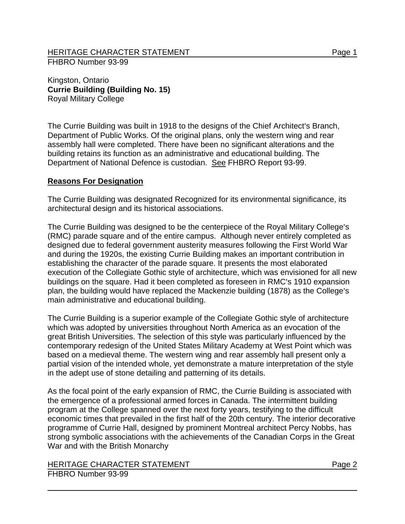Kingston, Ontario **Currie Building (Building No. 15)** Royal Military College

The Currie Building was built in 1918 to the designs of the Chief Architect's Branch, Department of Public Works. Of the original plans, only the western wing and rear assembly hall were completed. There have been no significant alterations and the building retains its function as an administrative and educational building. The Department of National Defence is custodian. See FHBRO Report 93-99.

## **Reasons For Designation**

The Currie Building was designated Recognized for its environmental significance, its architectural design and its historical associations.

The Currie Building was designed to be the centerpiece of the Royal Military College's (RMC) parade square and of the entire campus. Although never entirely completed as designed due to federal government austerity measures following the First World War and during the 1920s, the existing Currie Building makes an important contribution in establishing the character of the parade square. It presents the most elaborated execution of the Collegiate Gothic style of architecture, which was envisioned for all new buildings on the square. Had it been completed as foreseen in RMC's 1910 expansion plan, the building would have replaced the Mackenzie building (1878) as the College's main administrative and educational building.

The Currie Building is a superior example of the Collegiate Gothic style of architecture which was adopted by universities throughout North America as an evocation of the great British Universities. The selection of this style was particularly influenced by the contemporary redesign of the United States Military Academy at West Point which was based on a medieval theme. The western wing and rear assembly hall present only a partial vision of the intended whole, yet demonstrate a mature interpretation of the style in the adept use of stone detailing and patterning of its details.

As the focal point of the early expansion of RMC, the Currie Building is associated with the emergence of a professional armed forces in Canada. The intermittent building program at the College spanned over the next forty years, testifying to the difficult economic times that prevailed in the first half of the 20th century. The interior decorative programme of Currie Hall, designed by prominent Montreal architect Percy Nobbs, has strong symbolic associations with the achievements of the Canadian Corps in the Great War and with the British Monarchy

HERITAGE CHARACTER STATEMENT FRAGGERAL Page 2 FHBRO Number 93-99